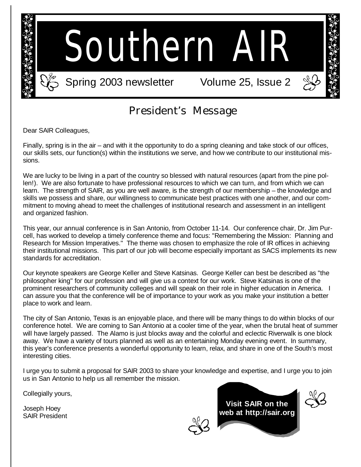

### President's Message

Dear SAIR Colleagues,

Finally, spring is in the air – and with it the opportunity to do a spring cleaning and take stock of our offices, our skills sets, our function(s) within the institutions we serve, and how we contribute to our institutional missions.

We are lucky to be living in a part of the country so blessed with natural resources (apart from the pine pollen!). We are also fortunate to have professional resources to which we can turn, and from which we can learn. The strength of SAIR, as you are well aware, is the strength of our membership – the knowledge and skills we possess and share, our willingness to communicate best practices with one another, and our commitment to moving ahead to meet the challenges of institutional research and assessment in an intelligent and organized fashion.

This year, our annual conference is in San Antonio, from October 11-14. Our conference chair, Dr. Jim Purcell, has worked to develop a timely conference theme and focus: "Remembering the Mission: Planning and Research for Mission Imperatives." The theme was chosen to emphasize the role of IR offices in achieving their institutional missions. This part of our job will become especially important as SACS implements its new standards for accreditation.

Our keynote speakers are George Keller and Steve Katsinas. George Keller can best be described as "the philosopher king" for our profession and will give us a context for our work. Steve Katsinas is one of the prominent researchers of community colleges and will speak on their role in higher education in America. I can assure you that the conference will be of importance to your work as you make your institution a better place to work and learn.

The city of San Antonio, Texas is an enjoyable place, and there will be many things to do within blocks of our conference hotel. We are coming to San Antonio at a cooler time of the year, when the brutal heat of summer will have largely passed. The Alamo is just blocks away and the colorful and eclectic Riverwalk is one block away. We have a variety of tours planned as well as an entertaining Monday evening event. In summary, this year's conference presents a wonderful opportunity to learn, relax, and share in one of the South's most interesting cities.

I urge you to submit a proposal for SAIR 2003 to share your knowledge and expertise, and I urge you to join us in San Antonio to help us all remember the mission.

Collegially yours,

Joseph Hoey SAIR President



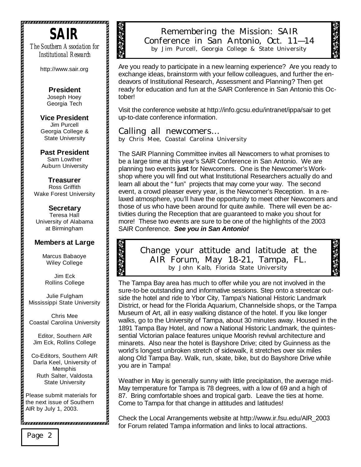

*The Southern Association for Institutional Research*

http://www.sair.org

**President**  Joseph Hoey Georgia Tech

**Vice President**  Jim Purcell Georgia College & State University

**Past President**  Sam Lowther Auburn University

**Treasurer** Ross Griffith Wake Forest University

**Secretary** Teresa Hall University of Alabama at Birmingham

#### **Members at Large**

Marcus Babaoye Wiley College

Jim Eck Rollins College

Julie Fulgham Mississippi State University

Chris Mee Coastal Carolina University

Editor, Southern AIR Jim Eck, Rollins College

Co-Editors, Southern AIR Darla Keel, University of Memphis Ruth Salter, Valdosta State University

Please submit materials for the next issue of Southern AIR by July 1, 2003.

Remembering the Mission: SAIR Conference in San Antonio, Oct. 11— 14 by Jim Purcell, Georgia College & State University

Are you ready to participate in a new learning experience? Are you ready to exchange ideas, brainstorm with your fellow colleagues, and further the endeavors of Institutional Research, Assessment and Planning? Then get ready for education and fun at the SAIR Conference in San Antonio this October!

Visit the conference website at http://info.gcsu.edu/intranet/ippa/sair to get up-to-date conference information.

*Calling all newcomers…*  by Chris Mee, Coastal Carolina University

The SAIR Planning Committee invites all Newcomers to what promises to be a large time at this year's SAIR Conference in San Antonio. We are planning two events **just** for Newcomers. One is the Newcomer's Workshop where you will find out what Institutional Researchers actually do and learn all about the "fun" projects that may come your way. The second event, a crowd pleaser every year, is the Newcomer's Reception. In a relaxed atmosphere, you'll have the opportunity to meet other Newcomers and those of us who have been around for quite awhile. There will even be activities during the Reception that are guaranteed to make you shout for more! These two events are sure to be one of the highlights of the 2003 SAIR Conference. *See you in San Antonio!*

#### Change your attitude and latitude at the AIR Forum, May 18-21, Tampa, FL. by John Kalb, Florida State University

The Tampa Bay area has much to offer while you are not involved in the sure-to-be outstanding and informative sessions. Step onto a streetcar outside the hotel and ride to Ybor City, Tampa's National Historic Landmark District, or head for the Florida Aquarium, Channelside shops, or the Tampa Museum of Art, all in easy walking distance of the hotel. If you like longer walks, go to the University of Tampa, about 30 minutes away. Housed in the 1891 Tampa Bay Hotel, and now a National Historic Landmark, the quintessential Victorian palace features unique Moorish revival architecture and minarets. Also near the hotel is Bayshore Drive; cited by Guinness as the world's longest unbroken stretch of sidewalk, it stretches over six miles along Old Tampa Bay. Walk, run, skate, bike, but do Bayshore Drive while you are in Tampa!

Weather in May is generally sunny with little precipitation, the average mid-May temperature for Tampa is 78 degrees, with a low of 69 and a high of 87. Bring comfortable shoes and tropical garb. Leave the ties at home. Come to Tampa for that change in attitudes and latitudes!

Check the Local Arrangements website at http://www.ir.fsu.edu/AIR\_2003 for Forum related Tampa information and links to local attractions.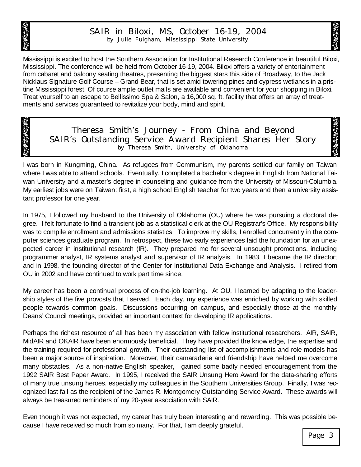

#### SAIR in Biloxi, MS, October 16-19, 2004 by Julie Fulgham, Mississippi State University

Mississippi is excited to host the Southern Association for Institutional Research Conference in beautiful Biloxi, Mississippi. The conference will be held from October 16-19, 2004. Biloxi offers a variety of entertainment from cabaret and balcony seating theatres, presenting the biggest stars this side of Broadway, to the Jack Nicklaus Signature Golf Course – Grand Bear, that is set amid towering pines and cypress wetlands in a pristine Mississippi forest. Of course ample outlet malls are available and convenient for your shopping in Biloxi. Treat yourself to an escape to Bellissimo Spa & Salon, a 16,000 sq. ft. facility that offers an array of treatments and services guaranteed to revitalize your body, mind and spirit.

Theresa Smith's Journey - From China and Beyond SAIR's Outstanding Service Award Recipient Shares Her Story by Theresa Smith, University of Oklahoma

I was born in Kungming, China. As refugees from Communism, my parents settled our family on Taiwan where I was able to attend schools. Eventually, I completed a bachelor's degree in English from National Taiwan University and a master's degree in counseling and guidance from the University of Missouri-Columbia. My earliest jobs were on Taiwan: first, a high school English teacher for two years and then a university assistant professor for one year.

In 1975, I followed my husband to the University of Oklahoma (OU) where he was pursuing a doctoral degree. I felt fortunate to find a transient job as a statistical clerk at the OU Registrar's Office. My responsibility was to compile enrollment and admissions statistics. To improve my skills, I enrolled concurrently in the computer sciences graduate program. In retrospect, these two early experiences laid the foundation for an unexpected career in institutional research (IR). They prepared me for several unsought promotions, including programmer analyst, IR systems analyst and supervisor of IR analysis. In 1983, I became the IR director; and in 1998, the founding director of the Center for Institutional Data Exchange and Analysis. I retired from OU in 2002 and have continued to work part time since.

My career has been a continual process of on-the-job learning. At OU, I learned by adapting to the leadership styles of the five provosts that I served. Each day, my experience was enriched by working with skilled people towards common goals. Discussions occurring on campus, and especially those at the monthly Deans' Council meetings, provided an important context for developing IR applications.

Perhaps the richest resource of all has been my association with fellow institutional researchers. AIR, SAIR, MidAIR and OKAIR have been enormously beneficial. They have provided the knowledge, the expertise and the training required for professional growth. Their outstanding list of accomplishments and role models has been a major source of inspiration. Moreover, their camaraderie and friendship have helped me overcome many obstacles. As a non-native English speaker, I gained some badly needed encouragement from the 1992 SAIR Best Paper Award. In 1995, I received the SAIR Unsung Hero Award for the data-sharing efforts of many true unsung heroes, especially my colleagues in the Southern Universities Group. Finally, I was recognized last fall as the recipient of the James R. Montgomery Outstanding Service Award. These awards will always be treasured reminders of my 20-year association with SAIR.

Even though it was not expected, my career has truly been interesting and rewarding. This was possible because I have received so much from so many. For that, I am deeply grateful.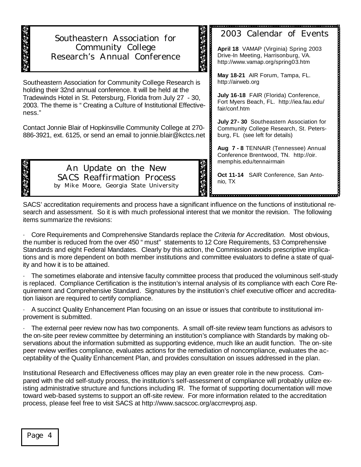#### Southeastern Association for Community College Research's Annual Conference

Southeastern Association for Community College Research is holding their 32nd annual conference. It will be held at the Tradewinds Hotel in St. Petersburg, Florida from July 27 - 30, 2003. The theme is "Creating a Culture of Institutional Effectiveness."

Contact Jonnie Blair of Hopkinsville Community College at 270- 886-3921, ext. 6125, or send an email to jonnie.blair@kctcs.net

> An Update on the New SACS Reaffirmation Process by Mike Moore, Georgia State University

**Aug 7 - 8** TENNAIR (Tennessee) Annual Conference Brentwood, TN. http://oir. memphis.edu/tennairmain

burg, FL (see left for details)

2003 Calendar of Events

**April 18** VAMAP (Virginia) Spring 2003 Drive-In Meeting, Harrisonburg, VA. http://www.vamap.org/spring03.htm

**May 18-21** AIR Forum, Tampa, FL.

**July 16-18** FAIR (Florida) Conference, Fort Myers Beach, FL. http://iea.fau.edu/

**July 27- 30** Southeastern Association for Community College Research, St. Petershttp://airweb.org

fair/conf.htm

**Oct 11-14** SAIR Conference, San Antonio, TX

vision de la component de la component de la component de la component de la component de la component de la c

SACS' accreditation requirements and process have a significant influence on the functions of institutional research and assessment. So it is with much professional interest that we monitor the revision. The following items summarize the revisions:

· Core Requirements and Comprehensive Standards replace the *Criteria for Accreditation*. Most obvious, the number is reduced from the over 450 " must" statements to 12 Core Requirements, 53 Comprehensive Standards and eight Federal Mandates. Clearly by this action, the Commission avoids prescriptive implications and is more dependent on both member institutions and committee evaluators to define a state of quality and how it is to be attained.

The sometimes elaborate and intensive faculty committee process that produced the voluminous self-study is replaced. Compliance Certification is the institution's internal analysis of its compliance with each Core Requirement and Comprehensive Standard. Signatures by the institution's chief executive officer and accreditation liaison are required to certify compliance.

· A succinct Quality Enhancement Plan focusing on an issue or issues that contribute to institutional improvement is submitted.

· The external peer review now has two components. A small off-site review team functions as advisors to the on-site peer review committee by determining an institution's compliance with Standards by making observations about the information submitted as supporting evidence, much like an audit function. The on-site peer review verifies compliance, evaluates actions for the remediation of noncompliance, evaluates the acceptability of the Quality Enhancement Plan, and provides consultation on issues addressed in the plan.

Institutional Research and Effectiveness offices may play an even greater role in the new process. Compared with the old self-study process, the institution's self-assessment of compliance will probably utilize existing administrative structure and functions including IR. The format of supporting documentation will move toward web-based systems to support an off-site review. For more information related to the accreditation process, please feel free to visit SACS at http://www.sacscoc.org/accrrevproj.asp.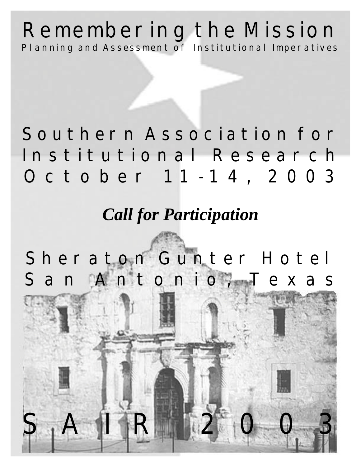### **Remembering the Mission Planning and Assessment of Institutional Imperatives**

# **October 1 1 - 14, 2003 Southern Association for Institutional Research**

## *Call for Participation*

**Sheraton Gunter Hotel San Antonio, Texas**

**SAIR 2003**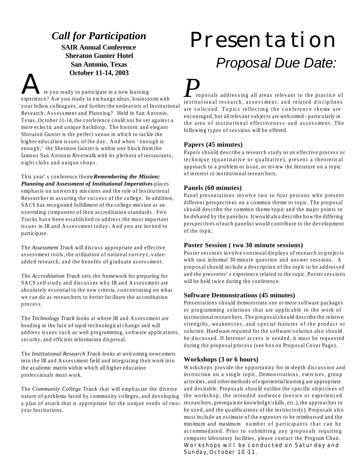### *Call for Participation*

**SAIR Annual Conference Sheraton Gunter Hotel San Antonio, Texas**

**October 11-14, 2003**<br>The you ready to participate in a new learning experience? Are you ready to exchange ideas, brainstorm with your fellow colleagues, and further the endeavors of Institutional Research, Assessment and Planning? Held in San Antonio, Texas, October 11-14, the conference could not be set against a more eclectic and unique backdrop. The historic and elegant Sheraton Gunter is the perfect venue in which to tackle the higher education issues of the day. And when 'enough is enough,' the Sheraton Gunter is within one block from the famous San Antonio Riverwalk with its plethora of restaurants, night clubs and unique shops.

This year's conference theme, *Remembering the Mission: Planning and Assessment of Institutional Imperatives* places emphasis on university missions and the role of Institutional Researcher in assuring the success of the college. In addition, SACS has recognized fulfillment of the college mission as an overriding component of their accreditation standards. Five Tracks have been established to address the most important issues in IR and Assessment today- And you are invited to participate.

The *Assessment Track* will discuss appropriate and effective assessment tools, the utilization of national surveys, valueadded research, and the benefits of graduate assessment.

The *Accreditation Track* sets the framework for preparing for SACS self study and discusses why IR and Assessment are absolutely essential to the new criteria, concentrating on what we can do as researchers to better facilitate the accreditation process.

The *Technology Track* looks at where IR and Assessment are heading in the face of rapid technological change and will address issues such as web programming, software applications, security, and efficient information dispersal.

The *Institutional Research Track* looks at welcoming newcomers into the IR and Assessment field and integrating their work into the academic matrix within which all higher education professionals must work.

The *Community College Track* that will emphasize the diverse nature of problems faced by community colleges, and developing a plan of attack that is appropriate for the unique needs of twoyear Institutions.

# Presentation *Proposal Due Date:*

*P* roposals addressing all areas relevant to the practice of institutional research, assessment, and related disciplines are solicited. Topics reflecting the conference theme are encouraged, but all relevant subjects are welcomed - particularly in the area of institutional effectiveness and assessment. The following types of sessions will be offered.

#### **Papers (45 minutes)**

Papers should describe a research study or an effective process or technique (quantitative or qualitative), present a theoretical approach to a problem or issue, or review the literature on a topic of interest to institutional researchers.

#### **Panels (60 minutes)**

Panel presentations involve two to four persons who present different perspectives on a common theme or topic. The proposal should describe the common theme/topic and the major points to be debated by the panelists. It would also describe how the differing perspectives of each panelist would contribute to the development of the topic.

#### **Poster Session ( two 30 minute sessions)**

Poster sessions involve continual displays of research or projects with two informal 30-minute question and answer sessions. A proposal should include a description of the topic to be addressed and the presenter's experience related to the topic. Poster sessions will be held twice during the conference.

#### **Software Demonstrations (45 minutes)**

Presentations should demonstrate one or more software packages or programming solutions that are applicable to the work of institutional researchers. The proposal should describe the relative strengths, weaknesses, and special features of the product or solution. Hardware required for the software/solution also should be discussed. If Internet access is needed, it must be requested during the proposal process (see box on Proposal Cover Page).

#### **Workshops (3 or 6 hours)**

Workshops provide the opportunity for in-depth discussion and instruction on a single topic. Demonstrations, exercises, group activities, and other methods of experiential learning are appropriate and desirable. Proposals should outline the specific objectives of the workshop, the intended audience (novice or experienced researchers, prerequisite knowledge/skills, etc.), the approaches to be used, and the qualifications of the instructor(s). Proposals also must include an estimate of the expenses to be reimbursed and the minimum and maximum number of participants that can be accommodated. Prior to submitting any proposals requiring computer laboratory facilities, please contact the Program Chair. **Workshops will be conducted on Saturday and Sunday, October 10 -11.**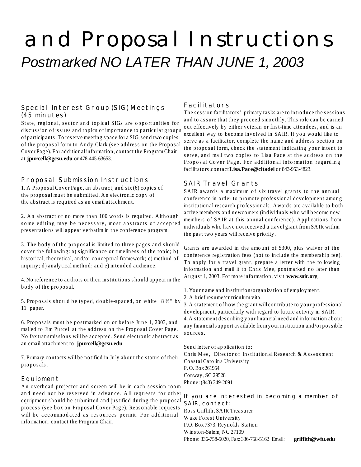# and Proposal Instructions *Postmarked NO LATER THAN JUNE 1, 2003*

#### **Special Interest Group (SIG) Meetings (45 minutes)**

State, regional, sector and topical SIGs are opportunities for discussion of issues and topics of importance to particular groups of participants. To reserve meeting space for a SIG, send two copies of the proposal form to Andy Clark (see address on the Proposal Cover Page). For additional information, contact the Program Chair at **jpurcell@gcsu.edu** or 478-445-63653.

#### **Proposal Submission Instructions**

1. A Proposal Cover Page, an abstract, and six (6) copies of the proposal must be submitted. An electronic copy of the abstract is required as an email attachment.

2. An abstract of no more than 100 words is required. Although some editing may be necessary, most abstracts of accepted presentations will appear verbatim in the conference program.

3. The body of the proposal is limited to three pages and should cover the following: a) significance or timeliness of the topic; b) historical, theoretical, and/or conceptual framework; c) method of inquiry; d) analytical method; and e) intended audience.

4. No reference to authors or their institutions should appear in the body of the proposal.

5. Proposals should be typed, double-spaced, on white  $8\frac{1}{2}$  by 11" paper.

6. Proposals must be postmarked on or before June 1, 2003, and mailed to Jim Purcell at the address on the Proposal Cover Page. No fax transmissions will be accepted. Send electronic abstract as an email attachment to: **jpurcell@gcsu.edu**

7. Primary contacts will be notified in July about the status of their proposals.

#### **Equipment**

An overhead projector and screen will be in each session room and need not be reserved in advance. All requests for other equipment should be submitted and justified during the proposal process (see box on Proposal Cover Page). Reasonable requests will be accommodated as resources permit. For additional information, contact the Program Chair.

#### **Facilitators**

The session facilitators' primary tasks are to introduce the sessions and to assure that they proceed smoothly. This role can be carried out effectively by either veteran or first-time attendees, and is an excellent way to become involved in SAIR. If you would like to serve as a facilitator, complete the name and address section on the proposal form, check the statement indicating your intent to serve, and mail two copies to Lisa Pace at the address on the Proposal Cover Page. For additional information regarding facilitators,contact **Lisa.Pace@citadel** or 843-953-4823.

#### **SAIR Travel Grants**

SAIR awards a maximum of six travel grants to the annual conference in order to promote professional development among institutional research professionals. Awards are available to both active members and newcomers (individuals who will become new members of SAIR at this annual conference). Applications from individuals who have not received a travel grant from SAIR within the past two years will receive priority.

Grants are awarded in the amount of \$300, plus waiver of the conference registration fees (not to include the membership fee). To apply for a travel grant, prepare a letter with the following information and mail it to Chris Mee, postmarked no later than August 1, 2003. For more information, visit **www.sair.org**.

1. Your name and institution/organization of employment.

2. A brief resume/curriculum vita.

3. A statement of how the grant will contribute to your professional development, particularly with regard to future activity in SAIR. 4. A statement describing your financial need and information about any financial support available from your institution and/or possible sources.

Send letter of application to:

Chris Mee, Director of Institutional Research & Assessment Coastal Carolina University P. O. Box 261954 Conway, SC 29528 Phone: (843) 349-2091

#### **If you are interested in becoming a member of SAIR, contact:**

Ross Griffith, SAIR Treasurer Wake Forest University P.O. Box 7373. Reynolds Station Winston-Salem, NC 27109 Phone: 336-758-5020, Fax: 336-758-5162 Email: **griffith@wfu.edu**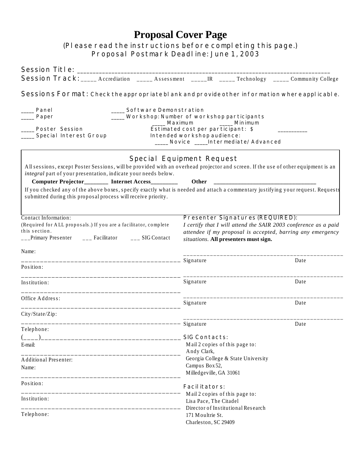#### **Proposal Cover Page** *(Please read the instructions before completing this page.)* **Proposal Postmark Deadline: June 1, 2003**

| <b>Session Track:</b> _____ Accrediation ______ Assessment ______IR _____ Technology _____ Community College                                                                                        |                                                                                                                                                   |                                                                                                                                                                                                                   |  |  |  |  |
|-----------------------------------------------------------------------------------------------------------------------------------------------------------------------------------------------------|---------------------------------------------------------------------------------------------------------------------------------------------------|-------------------------------------------------------------------------------------------------------------------------------------------------------------------------------------------------------------------|--|--|--|--|
| Sessions Format: Check the appropriate bl ank and provide other information where applicable.                                                                                                       |                                                                                                                                                   |                                                                                                                                                                                                                   |  |  |  |  |
| <b>Software Demonstration</b><br>Panel                                                                                                                                                              |                                                                                                                                                   |                                                                                                                                                                                                                   |  |  |  |  |
| Paper                                                                                                                                                                                               | <b>Workshop: Number of workshop participants</b>                                                                                                  |                                                                                                                                                                                                                   |  |  |  |  |
| <b>Poster Session</b><br><b>Special Interest Group</b>                                                                                                                                              | <b>Example 2</b> Minimum<br>Maximum<br>Estimated cost per participant: \$<br>Intended workshop audience:<br>____ Novice ____Intermediate/Advanced |                                                                                                                                                                                                                   |  |  |  |  |
| All sessions, except Poster Sessions, will be provided with an overhead projector and screen. If the use of other equipment is an<br>integral part of your presentation, indicate your needs below. | <b>Special Equipment Request</b>                                                                                                                  |                                                                                                                                                                                                                   |  |  |  |  |
| Computer Projector_______ Internet Access________                                                                                                                                                   |                                                                                                                                                   |                                                                                                                                                                                                                   |  |  |  |  |
| If you checked any of the above boxes, specify exactly what is needed and attach a commentary justifying your request. Requests<br>submitted during this proposal process will receive priority.    |                                                                                                                                                   |                                                                                                                                                                                                                   |  |  |  |  |
| Contact Information:<br>(Required for ALL proposals.) If you are a facilitator, complete<br>this section.<br>__Primary Presenter ____ Facilitator ____ SIG Contact                                  |                                                                                                                                                   | <b>Presenter Signatures (REQUIRED):</b><br>I certify that I will attend the SAIR 2003 conference as a paid<br>attendee if my proposal is accepted, barring any emergency<br>situations. All presenters must sign. |  |  |  |  |
| Name:                                                                                                                                                                                               |                                                                                                                                                   | Date                                                                                                                                                                                                              |  |  |  |  |
| Position:                                                                                                                                                                                           |                                                                                                                                                   |                                                                                                                                                                                                                   |  |  |  |  |
| Institution:                                                                                                                                                                                        | Signature                                                                                                                                         | Date                                                                                                                                                                                                              |  |  |  |  |
| Office Address:                                                                                                                                                                                     | Signature                                                                                                                                         | Date                                                                                                                                                                                                              |  |  |  |  |
| City/State/Zip:                                                                                                                                                                                     |                                                                                                                                                   |                                                                                                                                                                                                                   |  |  |  |  |
| Telephone:                                                                                                                                                                                          |                                                                                                                                                   | Date                                                                                                                                                                                                              |  |  |  |  |
|                                                                                                                                                                                                     | <b>SIG Contacts:</b>                                                                                                                              |                                                                                                                                                                                                                   |  |  |  |  |
| E-mail:                                                                                                                                                                                             | Andy Clark,                                                                                                                                       | Mail 2 copies of this page to:                                                                                                                                                                                    |  |  |  |  |
| <b>Additional Presenter:</b>                                                                                                                                                                        |                                                                                                                                                   | Georgia College & State University                                                                                                                                                                                |  |  |  |  |
| Name:                                                                                                                                                                                               | Campus Box 52,<br>Milledgeville, GA 31061                                                                                                         |                                                                                                                                                                                                                   |  |  |  |  |
| Position:                                                                                                                                                                                           | <b>Facilitators:</b><br>Mail 2 copies of this page to:                                                                                            |                                                                                                                                                                                                                   |  |  |  |  |
| Institution:                                                                                                                                                                                        | Lisa Pace, The Citadel<br>Director of Institutional Research                                                                                      |                                                                                                                                                                                                                   |  |  |  |  |
| Telephone:                                                                                                                                                                                          | 171 Moultrie St.<br>Charleston, SC 29409                                                                                                          |                                                                                                                                                                                                                   |  |  |  |  |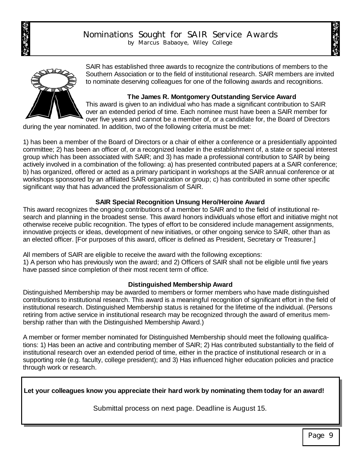



SAIR has established three awards to recognize the contributions of members to the Southern Association or to the field of institutional research. SAIR members are invited to nominate deserving colleagues for one of the following awards and recognitions.

#### **The James R. Montgomery Outstanding Service Award**

This award is given to an individual who has made a significant contribution to SAIR over an extended period of time. Each nominee must have been a SAIR member for over five years and cannot be a member of, or a candidate for, the Board of Directors

during the year nominated. In addition, two of the following criteria must be met:

1) has been a member of the Board of Directors or a chair of either a conference or a presidentially appointed committee; 2) has been an officer of, or a recognized leader in the establishment of, a state or special interest group which has been associated with SAIR; and 3) has made a professional contribution to SAIR by being actively involved in a combination of the following: a) has presented contributed papers at a SAIR conference; b) has organized, offered or acted as a primary participant in workshops at the SAIR annual conference or at workshops sponsored by an affiliated SAIR organization or group; c) has contributed in some other specific significant way that has advanced the professionalism of SAIR.

#### **SAIR Special Recognition Unsung Hero/Heroine Award**

This award recognizes the ongoing contributions of a member to SAIR and to the field of institutional research and planning in the broadest sense. This award honors individuals whose effort and initiative might not otherwise receive public recognition. The types of effort to be considered include management assignments, innovative projects or ideas, development of new initiatives, or other ongoing service to SAIR, other than as an elected officer. [For purposes of this award, officer is defined as President, Secretary or Treasurer.]

All members of SAIR are eligible to receive the award with the following exceptions:

1) A person who has previously won the award; and 2) Officers of SAIR shall not be eligible until five years have passed since completion of their most recent term of office.

#### **Distinguished Membership Award**

Distinguished Membership may be awarded to members or former members who have made distinguished contributions to institutional research. This award is a meaningful recognition of significant effort in the field of institutional research. Distinguished Membership status is retained for the lifetime of the individual. (Persons retiring from active service in institutional research may be recognized through the award of emeritus membership rather than with the Distinguished Membership Award.)

A member or former member nominated for Distinguished Membership should meet the following qualifications: 1) Has been an active and contributing member of SAIR; 2) Has contributed substantially to the field of institutional research over an extended period of time, either in the practice of institutional research or in a supporting role (e.g. faculty, college president); and 3) Has influenced higher education policies and practice through work or research.

**Let your colleagues know you appreciate their hard work by nominating them today for an award!** 

Submittal process on next page. Deadline is August 15.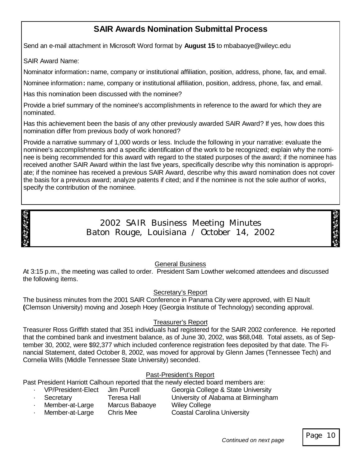#### **SAIR Awards Nomination Submittal Process**

Send an e-mail attachment in Microsoft Word format by **August 15** to mbabaoye@wileyc.edu

SAIR Award Name:

Nominator information**:** name, company or institutional affiliation, position, address, phone, fax, and email.

Nominee information**:** name, company or institutional affiliation, position, address, phone, fax, and email.

Has this nomination been discussed with the nominee?

Provide a brief summary of the nominee's accomplishments in reference to the award for which they are nominated.

Has this achievement been the basis of any other previously awarded SAIR Award? If yes, how does this nomination differ from previous body of work honored?

Provide a narrative summary of 1,000 words or less. Include the following in your narrative: evaluate the nominee's accomplishments and a specific identification of the work to be recognized; explain why the nominee is being recommended for this award with regard to the stated purposes of the award; if the nominee has received another SAIR Award within the last five years, specifically describe why this nomination is appropriate; if the nominee has received a previous SAIR Award, describe why this award nomination does not cover the basis for a previous award; analyze patents if cited; and if the nominee is not the sole author of works, specify the contribution of the nominee.



2002 SAIR Business Meeting Minutes Baton Rouge, Louisiana / October 14, 2002

General Business

At 3:15 p.m., the meeting was called to order. President Sam Lowther welcomed attendees and discussed the following items.

#### Secretary's Report

The business minutes from the 2001 SAIR Conference in Panama City were approved, with El Nault **(**Clemson University) moving and Joseph Hoey (Georgia Institute of Technology) seconding approval.

#### Treasurer's Report

Treasurer Ross Griffith stated that 351 individuals had registered for the SAIR 2002 conference. He reported that the combined bank and investment balance, as of June 30, 2002, was \$68,048. Total assets, as of September 30, 2002, were \$92,377 which included conference registration fees deposited by that date. The Financial Statement, dated October 8, 2002, was moved for approval by Glenn James (Tennessee Tech) and Cornelia Wills (Middle Tennessee State University) seconded.

#### Past-President's Report

Past President Harriott Calhoun reported that the newly elected board members are:

| <b>VP/President-Elect</b> | Jim Purcell    | Georgia College & State University  |
|---------------------------|----------------|-------------------------------------|
| Secretary                 | Teresa Hall    | University of Alabama at Birmingham |
| Member-at-Large           | Marcus Babaoye | <b>Wiley College</b>                |
| Member-at-Large           | Chris Mee      | <b>Coastal Carolina University</b>  |

Page 10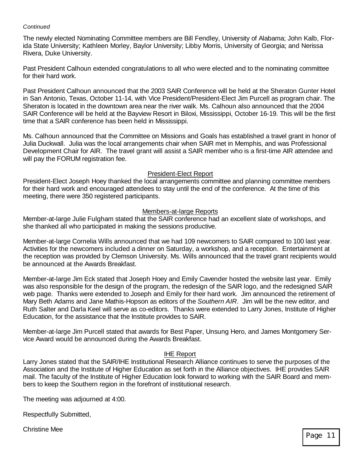#### *Continued*

The newly elected Nominating Committee members are Bill Fendley, University of Alabama; John Kalb, Florida State University; Kathleen Morley, Baylor University; Libby Morris, University of Georgia; and Nerissa Rivera, Duke University.

Past President Calhoun extended congratulations to all who were elected and to the nominating committee for their hard work.

Past President Calhoun announced that the 2003 SAIR Conference will be held at the Sheraton Gunter Hotel in San Antonio, Texas, October 11-14, with Vice President/President-Elect Jim Purcell as program chair. The Sheraton is located in the downtown area near the river walk. Ms. Calhoun also announced that the 2004 SAIR Conference will be held at the Bayview Resort in Biloxi, Mississippi, October 16-19. This will be the first time that a SAIR conference has been held in Mississippi.

Ms. Calhoun announced that the Committee on Missions and Goals has established a travel grant in honor of Julia Duckwall. Julia was the local arrangements chair when SAIR met in Memphis, and was Professional Development Chair for AIR. The travel grant will assist a SAIR member who is a first-time AIR attendee and will pay the FORUM registration fee.

#### President-Elect Report

President-Elect Joseph Hoey thanked the local arrangements committee and planning committee members for their hard work and encouraged attendees to stay until the end of the conference. At the time of this meeting, there were 350 registered participants.

#### Members-at-large Reports

Member-at-large Julie Fulgham stated that the SAIR conference had an excellent slate of workshops, and she thanked all who participated in making the sessions productive.

Member-at-large Cornelia Wills announced that we had 109 newcomers to SAIR compared to 100 last year. Activities for the newcomers included a dinner on Saturday, a workshop, and a reception. Entertainment at the reception was provided by Clemson University. Ms. Wills announced that the travel grant recipients would be announced at the Awards Breakfast.

Member-at-large Jim Eck stated that Joseph Hoey and Emily Cavender hosted the website last year. Emily was also responsible for the design of the program, the redesign of the SAIR logo, and the redesigned SAIR web page. Thanks were extended to Joseph and Emily for their hard work. Jim announced the retirement of Mary Beth Adams and Jane Mathis-Hopson as editors of the *Southern AIR*. Jim will be the new editor, and Ruth Salter and Darla Keel will serve as co-editors. Thanks were extended to Larry Jones, Institute of Higher Education, for the assistance that the Institute provides to SAIR.

Member-at-large Jim Purcell stated that awards for Best Paper, Unsung Hero, and James Montgomery Service Award would be announced during the Awards Breakfast.

#### IHE Report

Larry Jones stated that the SAIR/IHE Institutional Research Alliance continues to serve the purposes of the Association and the Institute of Higher Education as set forth in the Alliance objectives. IHE provides SAIR mail. The faculty of the Institute of Higher Education look forward to working with the SAIR Board and members to keep the Southern region in the forefront of institutional research.

The meeting was adjourned at 4:00.

Respectfully Submitted,

Christine Mee